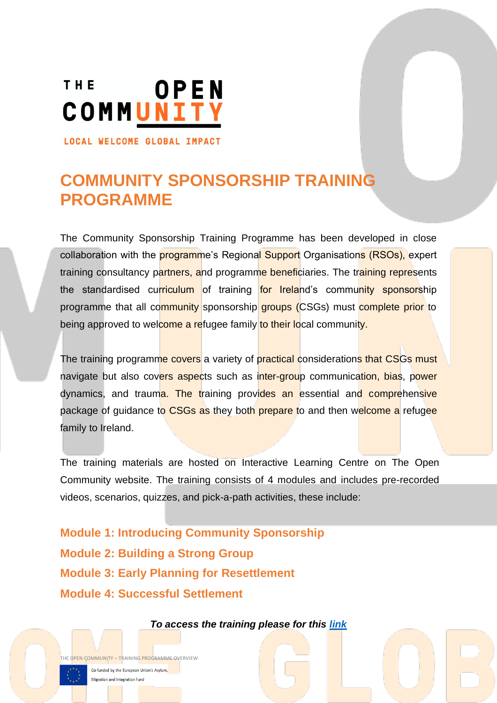

# **COMMUNITY SPONSORSHIP TRAINING PROGRAMME**

The Community Sponsorship Training Programme has been developed in close collaboration with the programme's Regional Support Organisations (RSOs), expert training consultancy partners, and programme beneficiaries. The training represents the standardised curriculum of training for Ireland's community sponsorship programme that all community sponsorship groups (CSGs) must complete prior to being approved to welcome a refugee family to their local community.

The training programme covers a variety of practical considerations that CSGs must navigate but also covers aspects such as inter-group communication, bias, power dynamics, and trauma. The training provides an essential and comprehensive package of guidance to CSGs as they both prepare to and then welcome a refugee family to Ireland.

The training materials are hosted on Interactive Learning Centre on The Open Community website. The training consists of 4 modules and includes pre-recorded videos, scenarios, quizzes, and pick-a-path activities, these include:

**Module 1: Introducing Community Sponsorship Module 2: Building a Strong Group Module 3: Early Planning for Resettlement Module 4: Successful Settlement**

*To access the training please for this [link](https://theopencommunity.talentlms.com/index)*

THE OPEN COMMUNITY – TRAINING PROGRAMME OVERVIEW

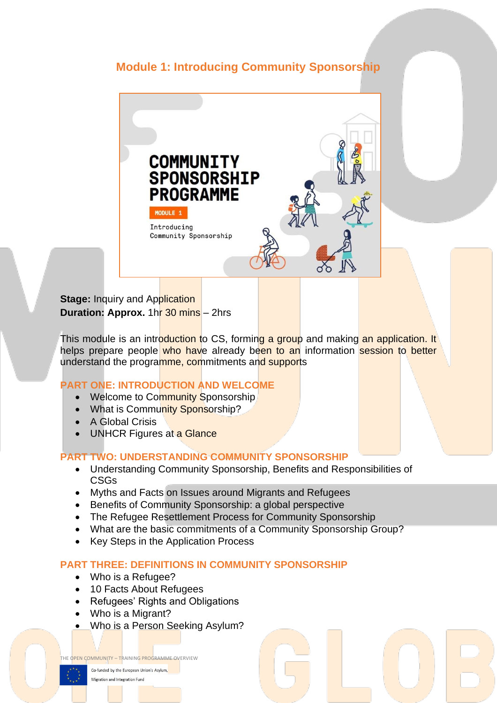# **Module 1: Introducing Community Sponsorship**



**Stage: Inquiry and Application Duration: Approx. 1hr 30 mins – 2hrs** 

This module is an introduction to CS, forming a group and making an application. It helps prepare people who have already been to an information session to better understand the programme, commitments and supports

### **PART ONE: INTRODUCTION AND WELCOME**

- Welcome to Community Sponsorship
- What is Community Sponsorship?
- A Global Crisis
- UNHCR Figures at a Glance

#### **PART TWO: UNDERSTANDING COMMUNITY SPONSORSHIP**

- Understanding Community Sponsorship, Benefits and Responsibilities of CSGs
- Myths and Facts on Issues around Migrants and Refugees
- Benefits of Community Sponsorship: a global perspective
- The Refugee Resettlement Process for Community Sponsorship
- What are the basic commitments of a Community Sponsorship Group?
- Key Steps in the Application Process

#### **PART THREE: DEFINITIONS IN COMMUNITY SPONSORSHIP**

- Who is a Refugee?
- 10 Facts About Refugees
- Refugees' Rights and Obligations
- Who is a Migrant?
- Who is a Person Seeking Asylum?

THE OPEN COMMUNITY – TRAINING PROGRAMME OVERVIEW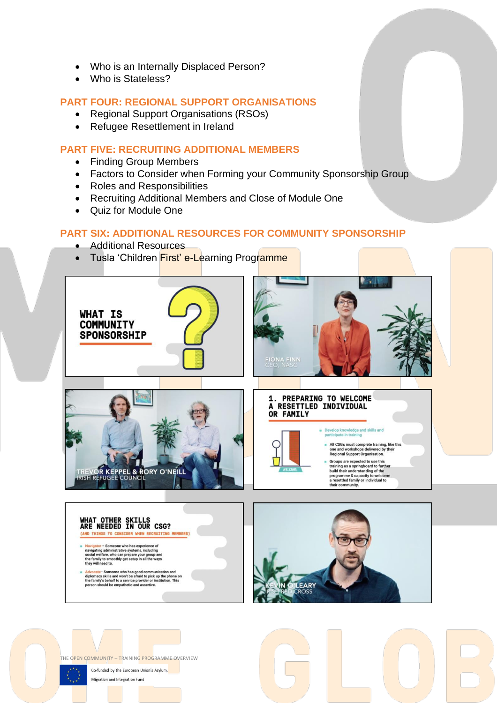- Who is an Internally Displaced Person?
- Who is Stateless?

#### **PART FOUR: REGIONAL SUPPORT ORGANISATIONS**

- Regional Support Organisations (RSOs)
- Refugee Resettlement in Ireland

#### **PART FIVE: RECRUITING ADDITIONAL MEMBERS**

- Finding Group Members
- Factors to Consider when Forming your Community Sponsorship Group
- Roles and Responsibilities
- Recruiting Additional Members and Close of Module One
- Quiz for Module One

#### **PART SIX: ADDITIONAL RESOURCES FOR COMMUNITY SPONSORSHIP**

- Additional Resources
- Tusla 'Children First' e-Learning Programme





#### velop knov edge and skills and participate in training

- All CSGs must complete training, like this<br>one and workshops delivered by their Regional Support Organisation
- regional and property crystal to use this<br>training as a springboard to furthe<br>build their understanding of the<br>programme & capacity to welcome<br>a resettled family or individual to<br>their community.



THE OPEN COMMUNITY – TRAINING PROGRAMME OVERVIEW

R KEPPEL & RORY O'NEILL

**ISH REELIG** 

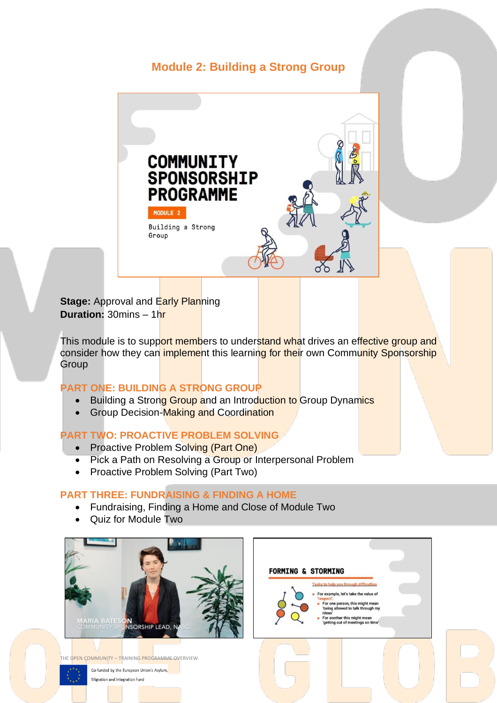# **Module 2: Building a Strong Group**



**Stage: Approval and Early Planning Duration:** 30mins – 1hr

This module is to support members to understand what drives an effective group and consider how they can implement this learning for their own Community Sponsorship **Group** 

#### **PART ONE: BUILDING A STRONG GROUP**

- Building a Strong Group and an Introduction to Group Dynamics
- Group Decision-Making and Coordination

### **PART TWO: PROACTIVE PROBLEM SOLVING**

- Proactive Problem Solving (Part One)
- Pick a Path on Resolving a Group or Interpersonal Problem
- Proactive Problem Solving (Part Two)

### **PART THREE: FUNDRAISING & FINDING A HOME**

- Fundraising, Finding a Home and Close of Module Two
- Quiz for Module Two



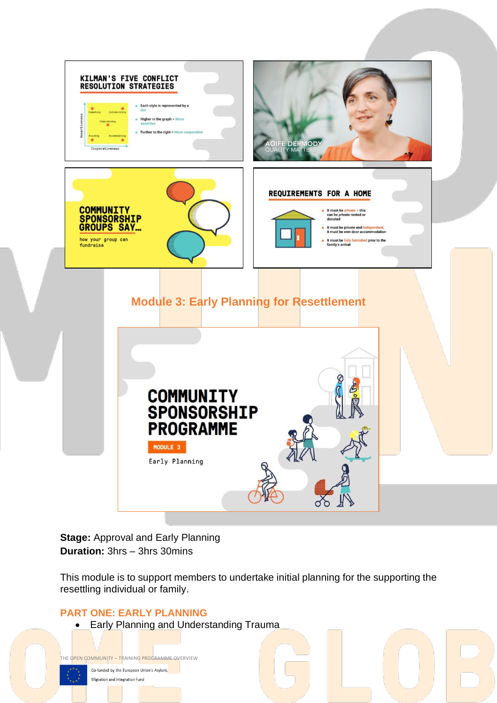

**Stage: Approval and Early Planning Duration:** 3hrs – 3hrs 30mins

This module is to support members to undertake initial planning for the supporting the resettling individual or family.

#### **PART ONE: EARLY PLANNING**

• Early Planning and Understanding Trauma

THE OPEN COMMUNITY – TRAINING PROGRAMME OVERVIEW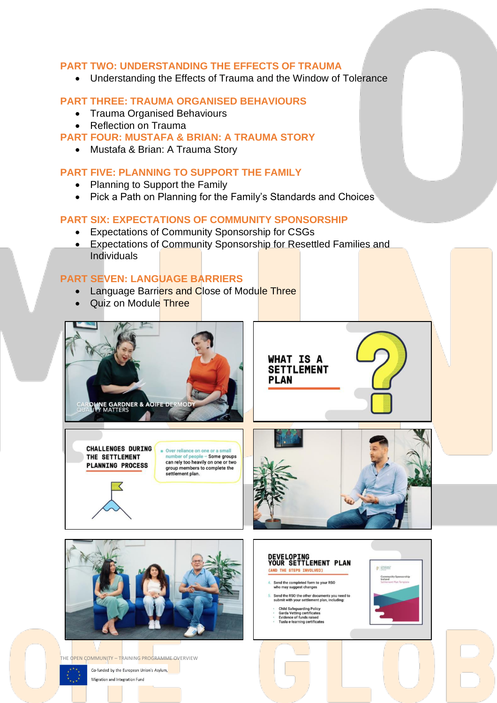#### **PART TWO: UNDERSTANDING THE EFFECTS OF TRAUMA**

• Understanding the Effects of Trauma and the Window of Tolerance

#### **PART THREE: TRAUMA ORGANISED BEHAVIOURS**

- Trauma Organised Behaviours
- Reflection on Trauma

**PART FOUR: MUSTAFA & BRIAN: A TRAUMA STORY**

• Mustafa & Brian: A Trauma Story

#### **PART FIVE: PLANNING TO SUPPORT THE FAMILY**

- Planning to Support the Family
- Pick a Path on Planning for the Family's Standards and Choices

#### **PART SIX: EXPECTATIONS OF COMMUNITY SPONSORSHIP**

- Expectations of Community Sponsorship for CSGs
- Expectations of Community Sponsorship for Resettled Families and Individuals

#### **PART SEVEN: LANGUAGE BARRIERS**

- **Language Barriers and Close of Module Three**
- Quiz on Module Three





Over reliance on one or a small number of people - Some groups<br>can rely too heavily on one or two group members to complete the<br>settlement plan.



 $q$ 

**DEVELOPING<br>YOUR SETTLEMENT PLAN** 

nd the RSO the other documents you need to<br>bmit with your settlement plan, including:

(AND THE STEPS INVOLVED) Send the completed form to your RSO who may suggest changes

Child Safeguarding Policy<br>Garda Vetting certificates<br>Evidence of funds raised<br>Tusla e-learning certificates

**WHAT IS A SETTLEMENT** 

**PLAN** 



THE OPEN COMMUNITY – TRAINING PROGRAMME OVERVIEW

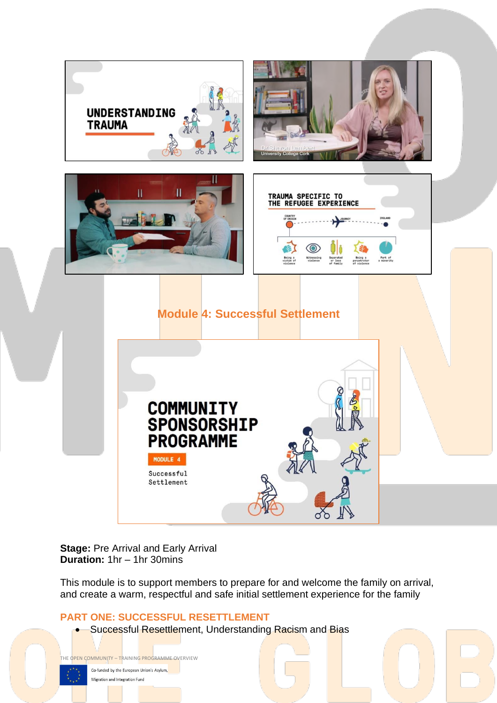







## **Module 4: Successful Settlement**



**Stage:** Pre Arrival and Early Arrival **Duration:** 1hr – 1hr 30mins

This module is to support members to prepare for and welcome the family on arrival, and create a warm, respectful and safe initial settlement experience for the family

### **PART ONE: SUCCESSFUL RESETTLEMENT**

• Successful Resettlement, Understanding Racism and Bias

THE OPEN COMMUNITY – TRAINING PROGRAMME OVERVIEW

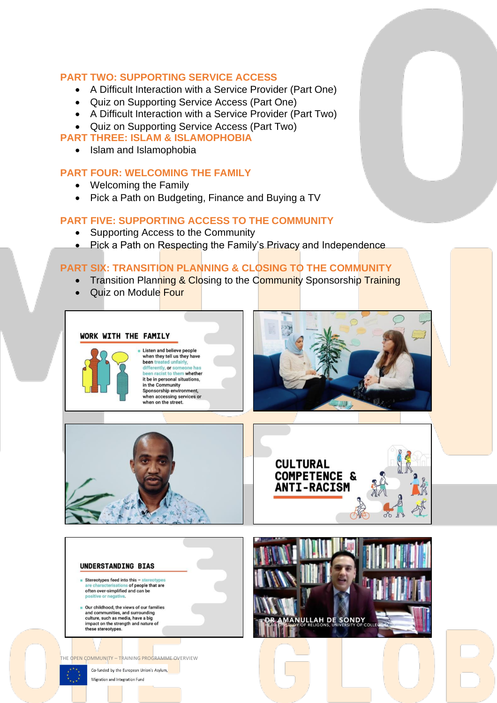#### **PART TWO: SUPPORTING SERVICE ACCESS**

- A Difficult Interaction with a Service Provider (Part One)
- Quiz on Supporting Service Access (Part One)
- A Difficult Interaction with a Service Provider (Part Two)
- Quiz on Supporting Service Access (Part Two)

#### **PART THREE: ISLAM & ISLAMOPHOBIA**

• Islam and Islamophobia

#### **PART FOUR: WELCOMING THE FAMILY**

- Welcoming the Family
- Pick a Path on Budgeting, Finance and Buying a TV

#### **PART FIVE: SUPPORTING ACCESS TO THE COMMUNITY**

- Supporting Access to the Community
- Pick a Path on Respecting the Family's Privacy and Independence

### **PART SIX: TRANSITION PLANNING & CLOSING TO THE COMMUNITY**

- Transition Planning & Closing to the Community Sponsorship Training
- Quiz on Module Four

#### WORK WITH THE FAMILY



Listen and believe people when they tell us they have been treated unfairly differently, or sor een racist to them whether it be in personal situations, in the Community Sponsorship environment, when accessing services or when on the street.







#### **UNDERSTANDING BIAS**

- Stereotypes feed into this  $-$  st is of people that are often over-simplified and can be
- Our childhood, the views of our families and communities, and surrounding culture, such as media, have a big<br>impact on the strength and nature these stereotypes.



THE OPEN COMMUNITY – TRAINING PROGRAMME OVERVIEW